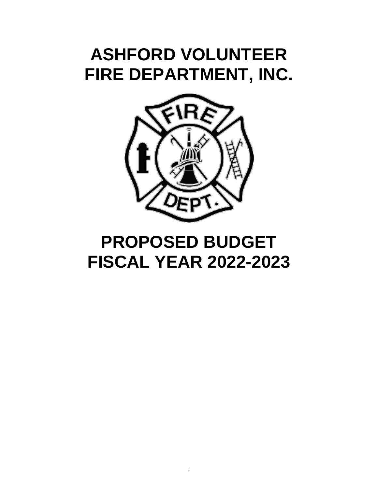# **ASHFORD VOLUNTEER FIRE DEPARTMENT, INC.**



# **PROPOSED BUDGET FISCAL YEAR 2022-2023**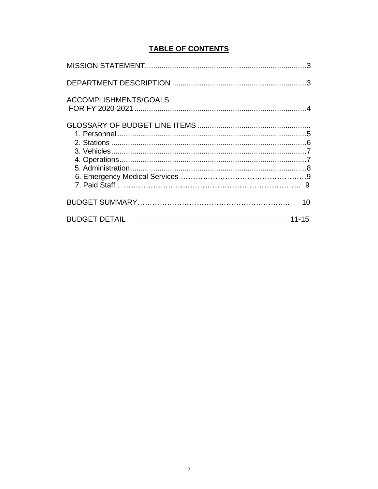# **TABLE OF CONTENTS**

| ACCOMPLISHMENTS/GOALS |  |
|-----------------------|--|
|                       |  |
|                       |  |
|                       |  |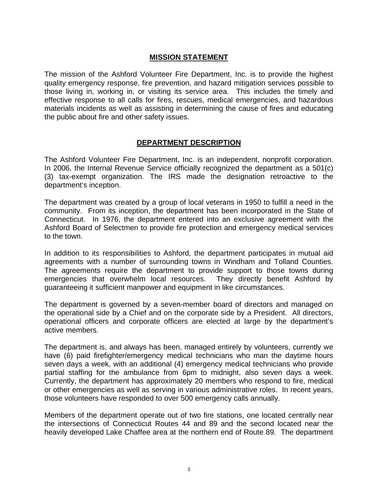## **MISSION STATEMENT**

The mission of the Ashford Volunteer Fire Department, Inc. is to provide the highest quality emergency response, fire prevention, and hazard mitigation services possible to those living in, working in, or visiting its service area. This includes the timely and effective response to all calls for fires, rescues, medical emergencies, and hazardous materials incidents as well as assisting in determining the cause of fires and educating the public about fire and other safety issues.

## **DEPARTMENT DESCRIPTION**

The Ashford Volunteer Fire Department, Inc. is an independent, nonprofit corporation. In 2006, the Internal Revenue Service officially recognized the department as a 501(c) (3) tax-exempt organization. The IRS made the designation retroactive to the department's inception.

The department was created by a group of local veterans in 1950 to fulfill a need in the community. From its inception, the department has been incorporated in the State of Connecticut. In 1976, the department entered into an exclusive agreement with the Ashford Board of Selectmen to provide fire protection and emergency medical services to the town.

In addition to its responsibilities to Ashford, the department participates in mutual aid agreements with a number of surrounding towns in Windham and Tolland Counties. The agreements require the department to provide support to those towns during emergencies that overwhelm local resources. They directly benefit Ashford by guaranteeing it sufficient manpower and equipment in like circumstances.

The department is governed by a seven-member board of directors and managed on the operational side by a Chief and on the corporate side by a President. All directors, operational officers and corporate officers are elected at large by the department's active members.

The department is, and always has been, managed entirely by volunteers, currently we have (6) paid firefighter/emergency medical technicians who man the daytime hours seven days a week, with an additional (4) emergency medical technicians who provide partial staffing for the ambulance from 6pm to midnight, also seven days a week. Currently, the department has approximately 20 members who respond to fire, medical or other emergencies as well as serving in various administrative roles. In recent years, those volunteers have responded to over 500 emergency calls annually.

Members of the department operate out of two fire stations, one located centrally near the intersections of Connecticut Routes 44 and 89 and the second located near the heavily developed Lake Chaffee area at the northern end of Route 89. The department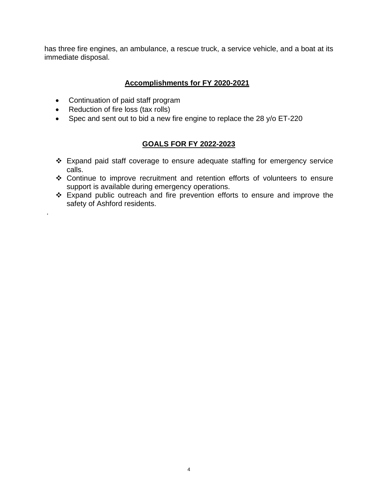has three fire engines, an ambulance, a rescue truck, a service vehicle, and a boat at its immediate disposal.

# **Accomplishments for FY 2020-2021**

- Continuation of paid staff program
- Reduction of fire loss (tax rolls)

.

• Spec and sent out to bid a new fire engine to replace the 28 y/o ET-220

# **GOALS FOR FY 2022-2023**

- Expand paid staff coverage to ensure adequate staffing for emergency service calls.
- Continue to improve recruitment and retention efforts of volunteers to ensure support is available during emergency operations.
- Expand public outreach and fire prevention efforts to ensure and improve the safety of Ashford residents.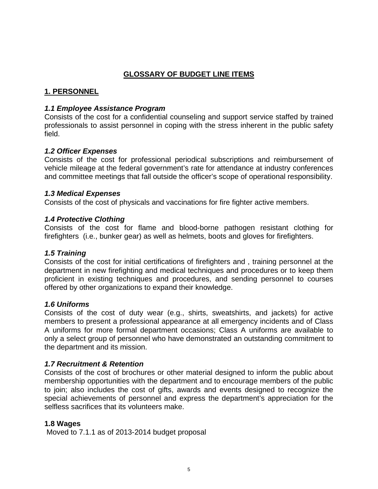# **GLOSSARY OF BUDGET LINE ITEMS**

# **1. PERSONNEL**

## *1.1 Employee Assistance Program*

Consists of the cost for a confidential counseling and support service staffed by trained professionals to assist personnel in coping with the stress inherent in the public safety field.

## *1.2 Officer Expenses*

Consists of the cost for professional periodical subscriptions and reimbursement of vehicle mileage at the federal government's rate for attendance at industry conferences and committee meetings that fall outside the officer's scope of operational responsibility.

## *1.3 Medical Expenses*

Consists of the cost of physicals and vaccinations for fire fighter active members.

## *1.4 Protective Clothing*

Consists of the cost for flame and blood-borne pathogen resistant clothing for firefighters (i.e., bunker gear) as well as helmets, boots and gloves for firefighters.

## *1.5 Training*

Consists of the cost for initial certifications of firefighters and , training personnel at the department in new firefighting and medical techniques and procedures or to keep them proficient in existing techniques and procedures, and sending personnel to courses offered by other organizations to expand their knowledge.

## *1.6 Uniforms*

Consists of the cost of duty wear (e.g., shirts, sweatshirts, and jackets) for active members to present a professional appearance at all emergency incidents and of Class A uniforms for more formal department occasions; Class A uniforms are available to only a select group of personnel who have demonstrated an outstanding commitment to the department and its mission.

# *1.7 Recruitment & Retention*

Consists of the cost of brochures or other material designed to inform the public about membership opportunities with the department and to encourage members of the public to join; also includes the cost of gifts, awards and events designed to recognize the special achievements of personnel and express the department's appreciation for the selfless sacrifices that its volunteers make.

## **1.8 Wages**

Moved to 7.1.1 as of 2013-2014 budget proposal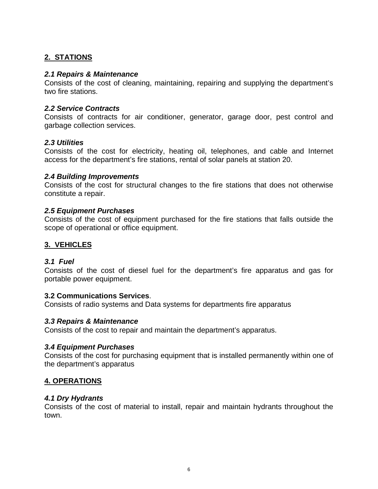# **2. STATIONS**

## *2.1 Repairs & Maintenance*

Consists of the cost of cleaning, maintaining, repairing and supplying the department's two fire stations.

## *2.2 Service Contracts*

Consists of contracts for air conditioner, generator, garage door, pest control and garbage collection services.

## *2.3 Utilities*

Consists of the cost for electricity, heating oil, telephones, and cable and Internet access for the department's fire stations, rental of solar panels at station 20.

#### *2.4 Building Improvements*

Consists of the cost for structural changes to the fire stations that does not otherwise constitute a repair.

## *2.5 Equipment Purchases*

Consists of the cost of equipment purchased for the fire stations that falls outside the scope of operational or office equipment.

## **3. VEHICLES**

#### *3.1 Fuel*

Consists of the cost of diesel fuel for the department's fire apparatus and gas for portable power equipment.

#### **3.2 Communications Services**.

Consists of radio systems and Data systems for departments fire apparatus

#### *3.3 Repairs & Maintenance*

Consists of the cost to repair and maintain the department's apparatus.

#### *3.4 Equipment Purchases*

Consists of the cost for purchasing equipment that is installed permanently within one of the department's apparatus

#### **4. OPERATIONS**

#### *4.1 Dry Hydrants*

Consists of the cost of material to install, repair and maintain hydrants throughout the town.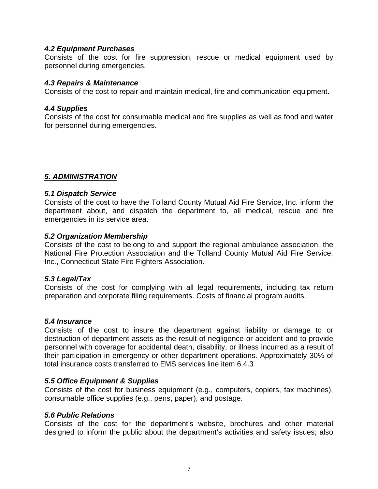## *4.2 Equipment Purchases*

Consists of the cost for fire suppression, rescue or medical equipment used by personnel during emergencies.

#### *4.3 Repairs & Maintenance*

Consists of the cost to repair and maintain medical, fire and communication equipment.

#### *4.4 Supplies*

Consists of the cost for consumable medical and fire supplies as well as food and water for personnel during emergencies.

## *5. ADMINISTRATION*

#### *5.1 Dispatch Service*

Consists of the cost to have the Tolland County Mutual Aid Fire Service, Inc. inform the department about, and dispatch the department to, all medical, rescue and fire emergencies in its service area.

## *5.2 Organization Membership*

Consists of the cost to belong to and support the regional ambulance association, the National Fire Protection Association and the Tolland County Mutual Aid Fire Service, Inc., Connecticut State Fire Fighters Association.

#### *5.3 Legal/Tax*

Consists of the cost for complying with all legal requirements, including tax return preparation and corporate filing requirements. Costs of financial program audits.

#### *5.4 Insurance*

Consists of the cost to insure the department against liability or damage to or destruction of department assets as the result of negligence or accident and to provide personnel with coverage for accidental death, disability, or illness incurred as a result of their participation in emergency or other department operations. Approximately 30% of total insurance costs transferred to EMS services line item 6.4.3

#### *5.5 Office Equipment & Supplies*

Consists of the cost for business equipment (e.g., computers, copiers, fax machines), consumable office supplies (e.g., pens, paper), and postage.

#### *5.6 Public Relations*

Consists of the cost for the department's website, brochures and other material designed to inform the public about the department's activities and safety issues; also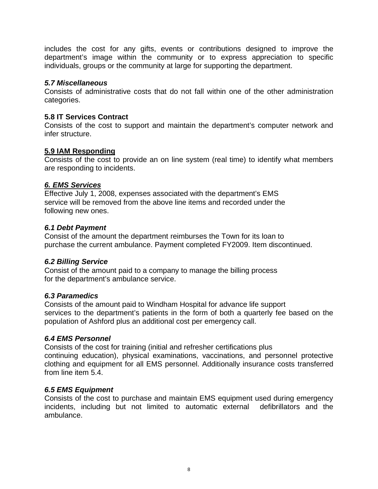includes the cost for any gifts, events or contributions designed to improve the department's image within the community or to express appreciation to specific individuals, groups or the community at large for supporting the department.

## *5.7 Miscellaneous*

Consists of administrative costs that do not fall within one of the other administration categories.

# **5.8 IT Services Contract**

Consists of the cost to support and maintain the department's computer network and infer structure.

## **5.9 IAM Responding**

Consists of the cost to provide an on line system (real time) to identify what members are responding to incidents.

## *6. EMS Services*

Effective July 1, 2008, expenses associated with the department's EMS service will be removed from the above line items and recorded under the following new ones.

# *6.1 Debt Payment*

Consist of the amount the department reimburses the Town for its loan to purchase the current ambulance. Payment completed FY2009. Item discontinued.

# *6.2 Billing Service*

Consist of the amount paid to a company to manage the billing process for the department's ambulance service.

# *6.3 Paramedics*

Consists of the amount paid to Windham Hospital for advance life support services to the department's patients in the form of both a quarterly fee based on the population of Ashford plus an additional cost per emergency call.

## *6.4 EMS Personnel*

Consists of the cost for training (initial and refresher certifications plus continuing education), physical examinations, vaccinations, and personnel protective clothing and equipment for all EMS personnel. Additionally insurance costs transferred from line item 5.4.

# *6.5 EMS Equipment*

Consists of the cost to purchase and maintain EMS equipment used during emergency incidents, including but not limited to automatic external defibrillators and the ambulance.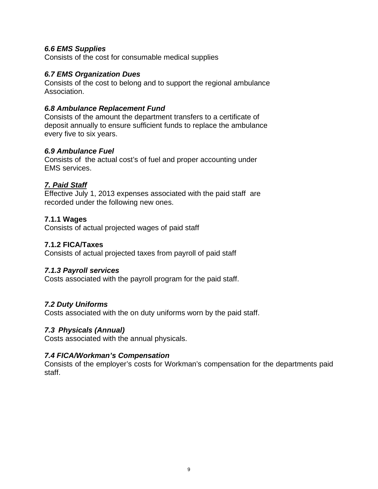## *6.6 EMS Supplies*

Consists of the cost for consumable medical supplies

## *6.7 EMS Organization Dues*

Consists of the cost to belong and to support the regional ambulance Association.

## *6.8 Ambulance Replacement Fund*

Consists of the amount the department transfers to a certificate of deposit annually to ensure sufficient funds to replace the ambulance every five to six years.

## *6.9 Ambulance Fuel*

Consists of the actual cost's of fuel and proper accounting under EMS services.

# *7. Paid Staff*

Effective July 1, 2013 expenses associated with the paid staff are recorded under the following new ones.

# **7.1.1 Wages**

Consists of actual projected wages of paid staff

# **7.1.2 FICA/Taxes**

Consists of actual projected taxes from payroll of paid staff

## *7.1.3 Payroll services*

Costs associated with the payroll program for the paid staff.

# *7.2 Duty Uniforms*

Costs associated with the on duty uniforms worn by the paid staff.

# *7.3 Physicals (Annual)*

Costs associated with the annual physicals.

## *7.4 FICA/Workman's Compensation*

Consists of the employer's costs for Workman's compensation for the departments paid staff.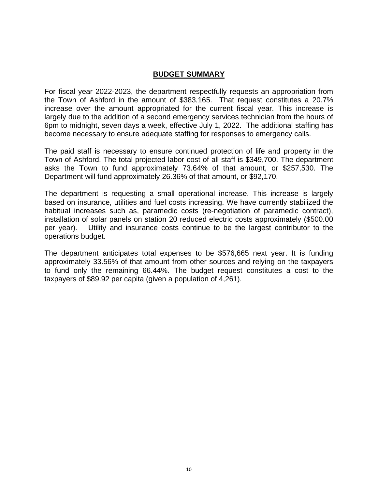## **BUDGET SUMMARY**

For fiscal year 2022-2023, the department respectfully requests an appropriation from the Town of Ashford in the amount of \$383,165. That request constitutes a 20.7% increase over the amount appropriated for the current fiscal year. This increase is largely due to the addition of a second emergency services technician from the hours of 6pm to midnight, seven days a week, effective July 1, 2022. The additional staffing has become necessary to ensure adequate staffing for responses to emergency calls.

The paid staff is necessary to ensure continued protection of life and property in the Town of Ashford. The total projected labor cost of all staff is \$349,700. The department asks the Town to fund approximately 73.64% of that amount, or \$257,530. The Department will fund approximately 26.36% of that amount, or \$92,170.

The department is requesting a small operational increase. This increase is largely based on insurance, utilities and fuel costs increasing. We have currently stabilized the habitual increases such as, paramedic costs (re-negotiation of paramedic contract), installation of solar panels on station 20 reduced electric costs approximately (\$500.00 per year). Utility and insurance costs continue to be the largest contributor to the operations budget.

The department anticipates total expenses to be \$576,665 next year. It is funding approximately 33.56% of that amount from other sources and relying on the taxpayers to fund only the remaining 66.44%. The budget request constitutes a cost to the taxpayers of \$89.92 per capita (given a population of 4,261).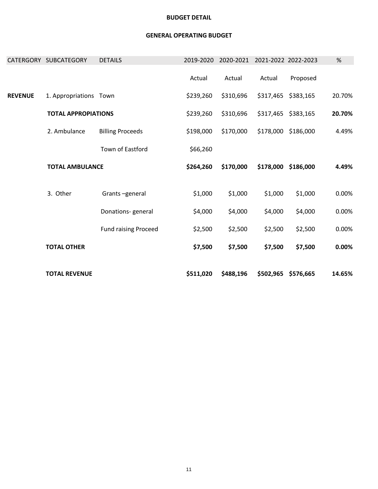|  | <b>TOTAL AMBULANCE</b>     |                             | \$264,260 | \$170,000 | \$178,000 | \$186,000 | 4.49%  |
|--|----------------------------|-----------------------------|-----------|-----------|-----------|-----------|--------|
|  | 3. Other<br>Grants-general |                             |           |           |           |           |        |
|  |                            |                             | \$1,000   | \$1,000   | \$1,000   | \$1,000   | 0.00%  |
|  |                            | Donations-general           | \$4,000   | \$4,000   | \$4,000   | \$4,000   | 0.00%  |
|  |                            | <b>Fund raising Proceed</b> | \$2,500   | \$2,500   | \$2,500   | \$2,500   | 0.00%  |
|  | <b>TOTAL OTHER</b>         |                             | \$7,500   | \$7,500   | \$7,500   | \$7,500   | 0.00%  |
|  |                            |                             |           |           |           |           |        |
|  | <b>TOTAL REVENUE</b>       |                             | \$511,020 | \$488,196 | \$502,965 | \$576,665 | 14.65% |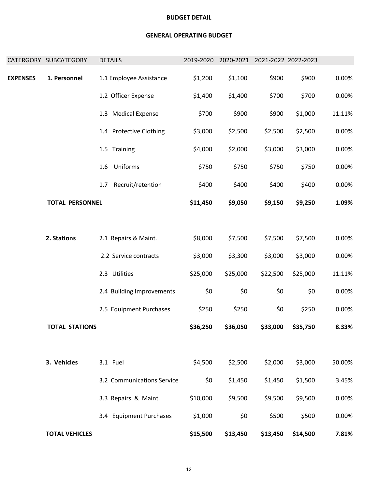|                 | CATERGORY SUBCATEGORY  | <b>DETAILS</b>             | 2019-2020 |          | 2020-2021 2021-2022 2022-2023 |          |        |
|-----------------|------------------------|----------------------------|-----------|----------|-------------------------------|----------|--------|
| <b>EXPENSES</b> | 1. Personnel           | 1.1 Employee Assistance    | \$1,200   | \$1,100  | \$900                         | \$900    | 0.00%  |
|                 |                        | 1.2 Officer Expense        | \$1,400   | \$1,400  | \$700                         | \$700    | 0.00%  |
|                 |                        | 1.3 Medical Expense        | \$700     | \$900    | \$900                         | \$1,000  | 11.11% |
|                 |                        | 1.4 Protective Clothing    | \$3,000   | \$2,500  | \$2,500                       | \$2,500  | 0.00%  |
|                 |                        | 1.5 Training               | \$4,000   | \$2,000  | \$3,000                       | \$3,000  | 0.00%  |
|                 |                        | Uniforms<br>1.6            | \$750     | \$750    | \$750                         | \$750    | 0.00%  |
|                 |                        | Recruit/retention<br>1.7   | \$400     | \$400    | \$400                         | \$400    | 0.00%  |
|                 | <b>TOTAL PERSONNEL</b> |                            | \$11,450  | \$9,050  | \$9,150                       | \$9,250  | 1.09%  |
|                 |                        |                            |           |          |                               |          |        |
|                 | 2. Stations            | 2.1 Repairs & Maint.       | \$8,000   | \$7,500  | \$7,500                       | \$7,500  | 0.00%  |
|                 |                        | 2.2 Service contracts      | \$3,000   | \$3,300  | \$3,000                       | \$3,000  | 0.00%  |
|                 |                        | 2.3 Utilities              | \$25,000  | \$25,000 | \$22,500                      | \$25,000 | 11.11% |
|                 |                        | 2.4 Building Improvements  | \$0       | \$0      | \$0                           | \$0      | 0.00%  |
|                 |                        | 2.5 Equipment Purchases    | \$250     | \$250    | \$0                           | \$250    | 0.00%  |
|                 | <b>TOTAL STATIONS</b>  |                            | \$36,250  | \$36,050 | \$33,000                      | \$35,750 | 8.33%  |
|                 |                        |                            |           |          |                               |          |        |
|                 | 3. Vehicles            | 3.1 Fuel                   | \$4,500   | \$2,500  | \$2,000                       | \$3,000  | 50.00% |
|                 |                        | 3.2 Communications Service | \$0       | \$1,450  | \$1,450                       | \$1,500  | 3.45%  |
|                 |                        | 3.3 Repairs & Maint.       | \$10,000  | \$9,500  | \$9,500                       | \$9,500  | 0.00%  |
|                 |                        | 3.4 Equipment Purchases    | \$1,000   | \$0      | \$500                         | \$500    | 0.00%  |
|                 | <b>TOTAL VEHICLES</b>  |                            | \$15,500  | \$13,450 | \$13,450                      | \$14,500 | 7.81%  |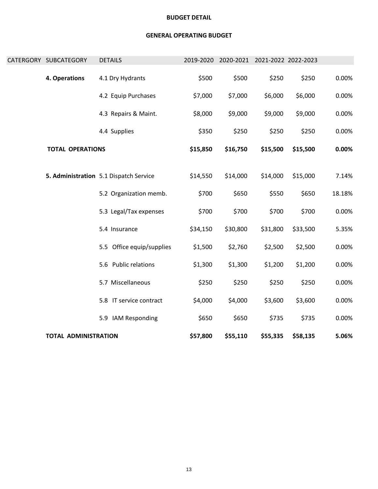| <b>TOTAL ADMINISTRATION</b> |                                        | \$57,800  | \$55,110 | \$55,335                      | \$58,135 | 5.06%  |
|-----------------------------|----------------------------------------|-----------|----------|-------------------------------|----------|--------|
|                             | 5.9 IAM Responding                     | \$650     | \$650    | \$735                         | \$735    | 0.00%  |
|                             | 5.8 IT service contract                | \$4,000   | \$4,000  | \$3,600                       | \$3,600  | 0.00%  |
|                             | 5.7 Miscellaneous                      | \$250     | \$250    | \$250                         | \$250    | 0.00%  |
|                             | 5.6 Public relations                   | \$1,300   | \$1,300  | \$1,200                       | \$1,200  | 0.00%  |
|                             | 5.5 Office equip/supplies              | \$1,500   | \$2,760  | \$2,500                       | \$2,500  | 0.00%  |
|                             | 5.4 Insurance                          | \$34,150  | \$30,800 | \$31,800                      | \$33,500 | 5.35%  |
|                             | 5.3 Legal/Tax expenses                 | \$700     | \$700    | \$700                         | \$700    | 0.00%  |
|                             | 5.2 Organization memb.                 | \$700     | \$650    | \$550                         | \$650    | 18.18% |
|                             | 5. Administration 5.1 Dispatch Service | \$14,550  | \$14,000 | \$14,000                      | \$15,000 | 7.14%  |
| <b>TOTAL OPERATIONS</b>     |                                        | \$15,850  | \$16,750 | \$15,500                      | \$15,500 | 0.00%  |
|                             | 4.4 Supplies                           | \$350     | \$250    | \$250                         | \$250    | 0.00%  |
|                             | 4.3 Repairs & Maint.                   | \$8,000   | \$9,000  | \$9,000                       | \$9,000  | 0.00%  |
|                             | 4.2 Equip Purchases                    | \$7,000   | \$7,000  | \$6,000                       | \$6,000  | 0.00%  |
| 4. Operations               | 4.1 Dry Hydrants                       | \$500     | \$500    | \$250                         | \$250    | 0.00%  |
| CATERGORY SUBCATEGORY       | <b>DETAILS</b>                         | 2019-2020 |          | 2020-2021 2021-2022 2022-2023 |          |        |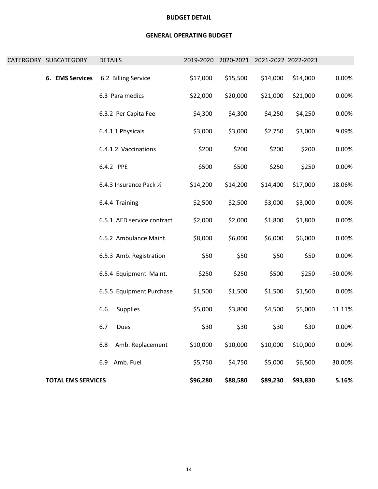| CATERGORY SUBCATEGORY |                           | <b>DETAILS</b> |                            | 2019-2020 |          | 2020-2021 2021-2022 2022-2023 |          |           |
|-----------------------|---------------------------|----------------|----------------------------|-----------|----------|-------------------------------|----------|-----------|
|                       | 6. EMS Services           |                | 6.2 Billing Service        | \$17,000  | \$15,500 | \$14,000                      | \$14,000 | 0.00%     |
|                       |                           |                | 6.3 Para medics            | \$22,000  | \$20,000 | \$21,000                      | \$21,000 | 0.00%     |
|                       |                           |                | 6.3.2 Per Capita Fee       | \$4,300   | \$4,300  | \$4,250                       | \$4,250  | 0.00%     |
|                       |                           |                | 6.4.1.1 Physicals          | \$3,000   | \$3,000  | \$2,750                       | \$3,000  | 9.09%     |
|                       |                           |                | 6.4.1.2 Vaccinations       | \$200     | \$200    | \$200                         | \$200    | 0.00%     |
|                       |                           |                | 6.4.2 PPE                  | \$500     | \$500    | \$250                         | \$250    | 0.00%     |
|                       |                           |                | 6.4.3 Insurance Pack 1/2   | \$14,200  | \$14,200 | \$14,400                      | \$17,000 | 18.06%    |
|                       |                           |                | 6.4.4 Training             | \$2,500   | \$2,500  | \$3,000                       | \$3,000  | 0.00%     |
|                       |                           |                | 6.5.1 AED service contract | \$2,000   | \$2,000  | \$1,800                       | \$1,800  | 0.00%     |
|                       |                           |                | 6.5.2 Ambulance Maint.     | \$8,000   | \$6,000  | \$6,000                       | \$6,000  | 0.00%     |
|                       |                           |                | 6.5.3 Amb. Registration    | \$50      | \$50     | \$50                          | \$50     | 0.00%     |
|                       |                           |                | 6.5.4 Equipment Maint.     | \$250     | \$250    | \$500                         | \$250    | $-50.00%$ |
|                       |                           |                | 6.5.5 Equipment Purchase   | \$1,500   | \$1,500  | \$1,500                       | \$1,500  | 0.00%     |
|                       |                           | 6.6            | Supplies                   | \$5,000   | \$3,800  | \$4,500                       | \$5,000  | 11.11%    |
|                       |                           | 6.7            | Dues                       | \$30      | \$30     | \$30                          | \$30     | 0.00%     |
|                       |                           | 6.8            | Amb. Replacement           | \$10,000  | \$10,000 | \$10,000                      | \$10,000 | 0.00%     |
|                       |                           | 6.9            | Amb. Fuel                  | \$5,750   | \$4,750  | \$5,000                       | \$6,500  | 30.00%    |
|                       | <b>TOTAL EMS SERVICES</b> |                |                            | \$96,280  | \$88,580 | \$89,230                      | \$93,830 | 5.16%     |